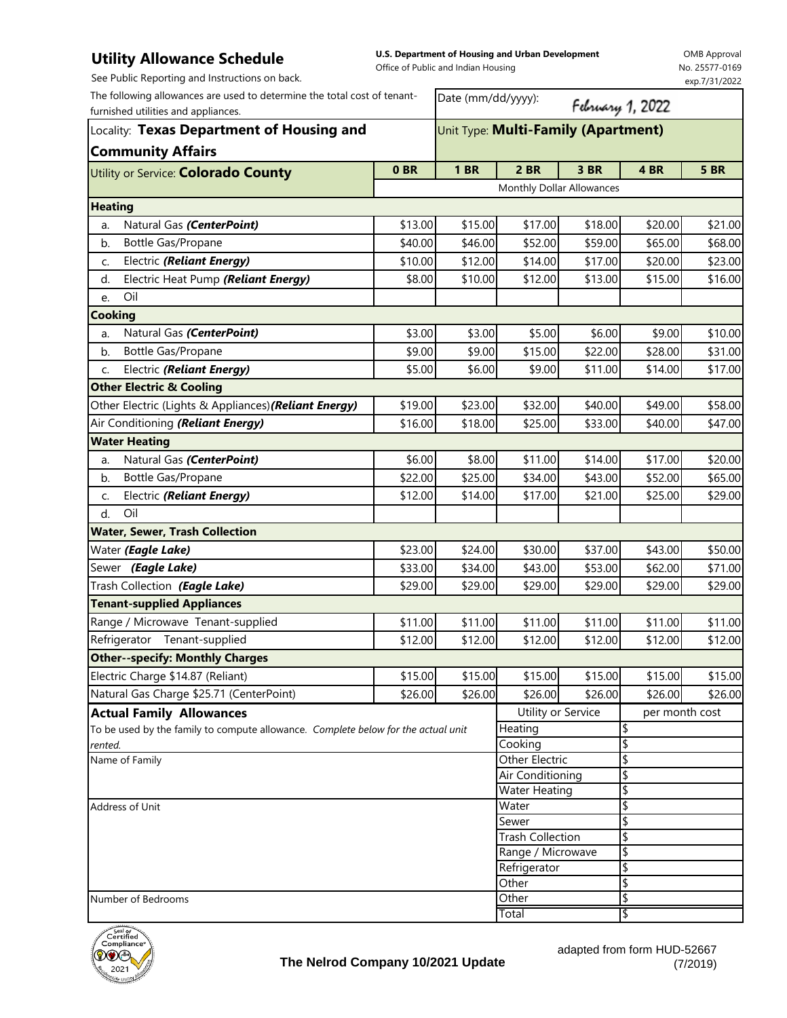## **Utility Allowance Schedule**

**U.S. Department of Housing and Urban Development**  Office of Public and Indian Housing

OMB Approval No. 25577-0169

| See Public Reporting and Instructions on back.                                                                  |                                     |                         |                               |         |                  | exp.7/31/2022 |  |
|-----------------------------------------------------------------------------------------------------------------|-------------------------------------|-------------------------|-------------------------------|---------|------------------|---------------|--|
| The following allowances are used to determine the total cost of tenant-<br>furnished utilities and appliances. |                                     | Date (mm/dd/yyyy):      |                               |         | February 1, 2022 |               |  |
| Locality: Texas Department of Housing and<br><b>Community Affairs</b>                                           | Unit Type: Multi-Family (Apartment) |                         |                               |         |                  |               |  |
| Utility or Service: <b>Colorado County</b>                                                                      | 0BR                                 | <b>1 BR</b>             | 2 BR                          | 3 BR    | 4 BR             | <b>5 BR</b>   |  |
|                                                                                                                 |                                     |                         | Monthly Dollar Allowances     |         |                  |               |  |
| <b>Heating</b>                                                                                                  |                                     |                         |                               |         |                  |               |  |
| Natural Gas (CenterPoint)<br>a.                                                                                 | \$13.00                             | \$15.00                 | \$17.00                       | \$18.00 | \$20.00          | \$21.00       |  |
| Bottle Gas/Propane<br>b.                                                                                        | \$40.00                             | \$46.00                 | \$52.00                       | \$59.00 | \$65.00          | \$68.00       |  |
| Electric (Reliant Energy)<br>c.                                                                                 | \$10.00                             | \$12.00                 | \$14.00                       | \$17.00 | \$20.00          | \$23.00       |  |
| Electric Heat Pump (Reliant Energy)<br>d.                                                                       | \$8.00                              | \$10.00                 | \$12.00                       | \$13.00 | \$15.00          | \$16.00       |  |
| Oil<br>e.                                                                                                       |                                     |                         |                               |         |                  |               |  |
| <b>Cooking</b>                                                                                                  |                                     |                         |                               |         |                  |               |  |
| Natural Gas (CenterPoint)<br>a.                                                                                 | \$3.00                              | \$3.00                  | \$5.00                        | \$6.00  | \$9.00           | \$10.00       |  |
| b.<br>Bottle Gas/Propane                                                                                        | \$9.00                              | \$9.00                  | \$15.00                       | \$22.00 | \$28.00          | \$31.00       |  |
| Electric (Reliant Energy)<br>C.                                                                                 | \$5.00                              | \$6.00                  | \$9.00                        | \$11.00 | \$14.00          | \$17.00       |  |
| <b>Other Electric &amp; Cooling</b>                                                                             |                                     |                         |                               |         |                  |               |  |
| Other Electric (Lights & Appliances) (Reliant Energy)                                                           | \$19.00                             | \$23.00                 | \$32.00                       | \$40.00 | \$49.00          | \$58.00       |  |
| Air Conditioning (Reliant Energy)                                                                               | \$16.00                             | \$18.00                 | \$25.00                       | \$33.00 | \$40.00          | \$47.00       |  |
| <b>Water Heating</b>                                                                                            |                                     |                         |                               |         |                  |               |  |
| Natural Gas (CenterPoint)<br>a.                                                                                 | \$6.00                              | \$8.00                  | \$11.00                       | \$14.00 | \$17.00          | \$20.00       |  |
| Bottle Gas/Propane<br>b.                                                                                        | \$22.00                             | \$25.00                 | \$34.00                       | \$43.00 | \$52.00          | \$65.00       |  |
| Electric (Reliant Energy)<br>C.                                                                                 | \$12.00                             | \$14.00                 | \$17.00                       | \$21.00 | \$25.00          | \$29.00       |  |
| d.<br>Oil                                                                                                       |                                     |                         |                               |         |                  |               |  |
| <b>Water, Sewer, Trash Collection</b>                                                                           |                                     |                         |                               |         |                  |               |  |
| Water (Eagle Lake)                                                                                              | \$23.00                             | \$24.00                 | \$30.00                       | \$37.00 | \$43.00          | \$50.00       |  |
| Sewer (Eagle Lake)                                                                                              | \$33.00                             | \$34.00                 | \$43.00                       | \$53.00 | \$62.00          | \$71.00       |  |
| Trash Collection (Eagle Lake)                                                                                   | \$29.00                             | \$29.00                 | \$29.00                       | \$29.00 | \$29.00          | \$29.00       |  |
| <b>Tenant-supplied Appliances</b>                                                                               |                                     |                         |                               |         |                  |               |  |
| Range / Microwave Tenant-supplied                                                                               | \$11.00                             | \$11.00                 | \$11.00                       | \$11.00 | \$11.00          | \$11.00       |  |
| Refrigerator Tenant-supplied                                                                                    | \$12.00                             | \$12.00                 | \$12.00                       | \$12.00 | \$12.00          | \$12.00       |  |
| <b>Other--specify: Monthly Charges</b>                                                                          |                                     |                         |                               |         |                  |               |  |
| Electric Charge \$14.87 (Reliant)                                                                               | \$15.00                             | \$15.00                 | \$15.00                       | \$15.00 | \$15.00          | \$15.00       |  |
| Natural Gas Charge \$25.71 (CenterPoint)                                                                        | \$26.00                             | \$26.00                 | \$26.00                       | \$26.00 | \$26.00          | \$26.00       |  |
| <b>Actual Family Allowances</b>                                                                                 |                                     |                         | Utility or Service            |         | per month cost   |               |  |
| To be used by the family to compute allowance. Complete below for the actual unit                               |                                     |                         | Heating                       |         | \$               |               |  |
| rented.                                                                                                         |                                     |                         | Cooking                       |         | \$               |               |  |
| Name of Family                                                                                                  |                                     | Other Electric          |                               | \$      |                  |               |  |
|                                                                                                                 |                                     | Air Conditioning        |                               | \$      |                  |               |  |
| Address of Unit                                                                                                 |                                     |                         | <b>Water Heating</b><br>Water |         | \$<br>\$         |               |  |
|                                                                                                                 |                                     | Sewer                   |                               | \$      |                  |               |  |
|                                                                                                                 |                                     | <b>Trash Collection</b> |                               | \$      |                  |               |  |
|                                                                                                                 |                                     |                         | Range / Microwave             |         | \$               |               |  |
|                                                                                                                 |                                     |                         | Refrigerator                  |         | \$               |               |  |
|                                                                                                                 |                                     |                         | Other                         |         | \$               |               |  |
| Number of Bedrooms                                                                                              |                                     |                         | Other<br>Total                |         | \$<br>₩          |               |  |
|                                                                                                                 |                                     |                         |                               |         |                  |               |  |